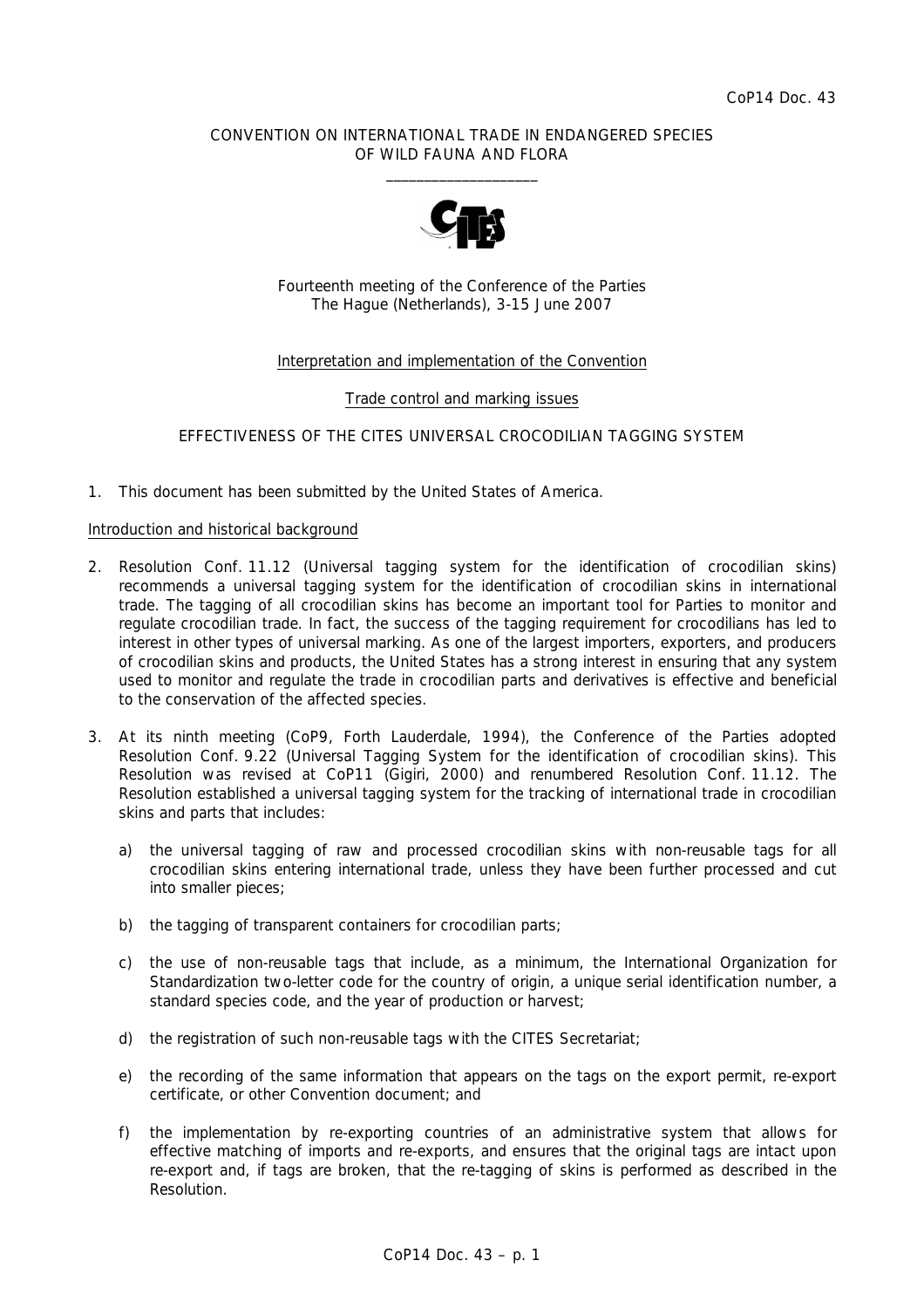## CONVENTION ON INTERNATIONAL TRADE IN ENDANGERED SPECIES OF WILD FAUNA AND FLORA  $\frac{1}{2}$  , and the set of the set of the set of the set of the set of the set of the set of the set of the set of the set of the set of the set of the set of the set of the set of the set of the set of the set of the set



Fourteenth meeting of the Conference of the Parties The Hague (Netherlands), 3-15 June 2007

# Interpretation and implementation of the Convention

## Trade control and marking issues

## EFFECTIVENESS OF THE CITES UNIVERSAL CROCODILIAN TAGGING SYSTEM

1. This document has been submitted by the United States of America.

### Introduction and historical background

- 2. Resolution Conf. 11.12 (Universal tagging system for the identification of crocodilian skins) recommends a universal tagging system for the identification of crocodilian skins in international trade. The tagging of all crocodilian skins has become an important tool for Parties to monitor and regulate crocodilian trade. In fact, the success of the tagging requirement for crocodilians has led to interest in other types of universal marking. As one of the largest importers, exporters, and producers of crocodilian skins and products, the United States has a strong interest in ensuring that any system used to monitor and regulate the trade in crocodilian parts and derivatives is effective and beneficial to the conservation of the affected species.
- 3. At its ninth meeting (CoP9, Forth Lauderdale, 1994), the Conference of the Parties adopted Resolution Conf. 9.22 (Universal Tagging System for the identification of crocodilian skins). This Resolution was revised at CoP11 (Gigiri, 2000) and renumbered Resolution Conf. 11.12. The Resolution established a universal tagging system for the tracking of international trade in crocodilian skins and parts that includes:
	- a) the universal tagging of raw and processed crocodilian skins with non-reusable tags for all crocodilian skins entering international trade, unless they have been further processed and cut into smaller pieces;
	- b) the tagging of transparent containers for crocodilian parts;
	- c) the use of non-reusable tags that include, as a minimum, the International Organization for Standardization two-letter code for the country of origin, a unique serial identification number, a standard species code, and the year of production or harvest;
	- d) the registration of such non-reusable tags with the CITES Secretariat;
	- e) the recording of the same information that appears on the tags on the export permit, re-export certificate, or other Convention document; and
	- f) the implementation by re-exporting countries of an administrative system that allows for effective matching of imports and re-exports, and ensures that the original tags are intact upon re-export and, if tags are broken, that the re-tagging of skins is performed as described in the Resolution.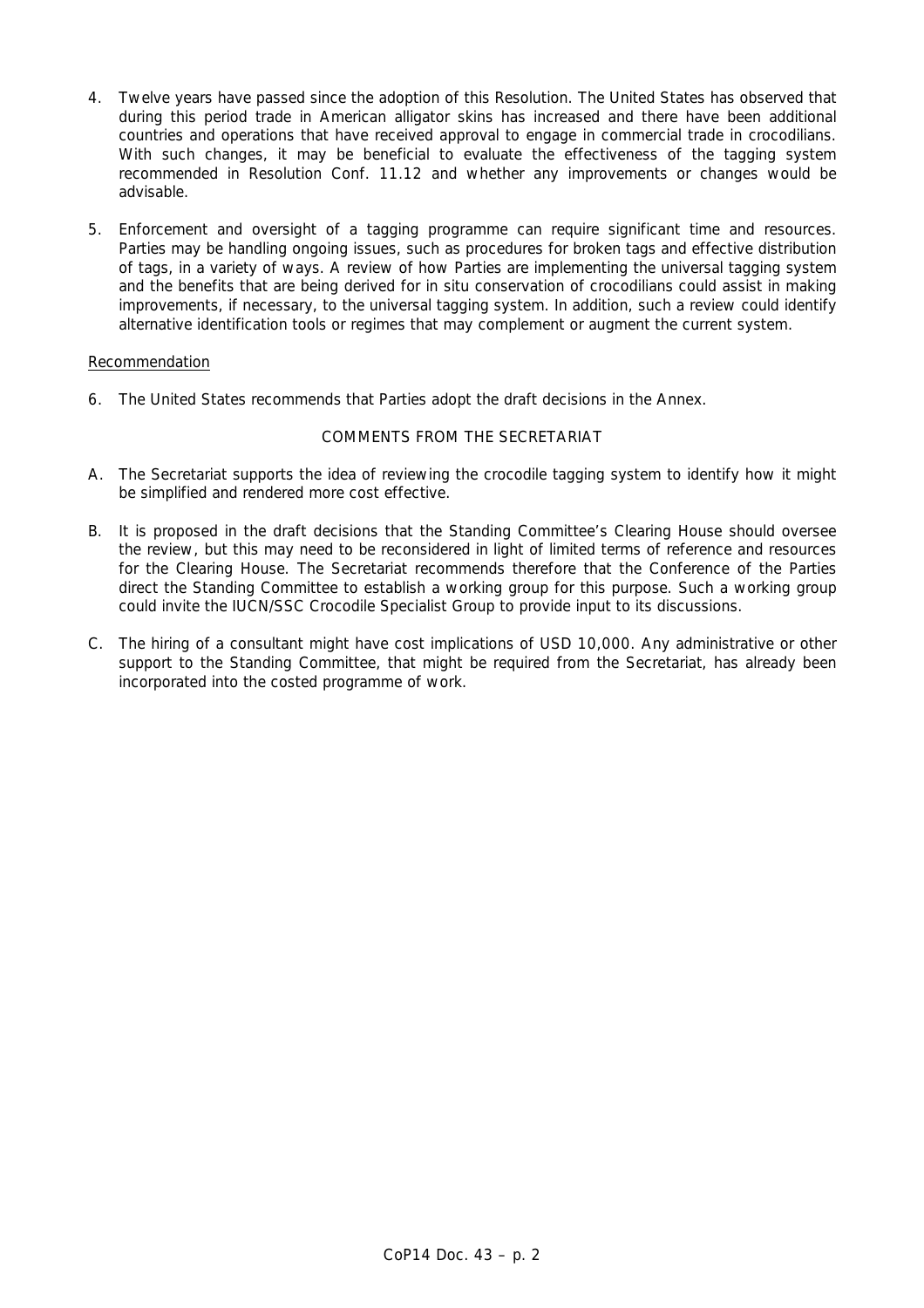- 4. Twelve years have passed since the adoption of this Resolution. The United States has observed that during this period trade in American alligator skins has increased and there have been additional countries and operations that have received approval to engage in commercial trade in crocodilians. With such changes, it may be beneficial to evaluate the effectiveness of the tagging system recommended in Resolution Conf. 11.12 and whether any improvements or changes would be advisable.
- 5. Enforcement and oversight of a tagging programme can require significant time and resources. Parties may be handling ongoing issues, such as procedures for broken tags and effective distribution of tags, in a variety of ways. A review of how Parties are implementing the universal tagging system and the benefits that are being derived for *in situ* conservation of crocodilians could assist in making improvements, if necessary, to the universal tagging system. In addition, such a review could identify alternative identification tools or regimes that may complement or augment the current system.

## Recommendation

6. The United States recommends that Parties adopt the draft decisions in the Annex.

# COMMENTS FROM THE SECRETARIAT

- A. The Secretariat supports the idea of reviewing the crocodile tagging system to identify how it might be simplified and rendered more cost effective.
- B. It is proposed in the draft decisions that the Standing Committee's Clearing House should oversee the review, but this may need to be reconsidered in light of limited terms of reference and resources for the Clearing House. The Secretariat recommends therefore that the Conference of the Parties direct the Standing Committee to establish a working group for this purpose. Such a working group could invite the IUCN/SSC Crocodile Specialist Group to provide input to its discussions.
- C. The hiring of a consultant might have cost implications of USD 10,000. Any administrative or other support to the Standing Committee, that might be required from the Secretariat, has already been incorporated into the costed programme of work.